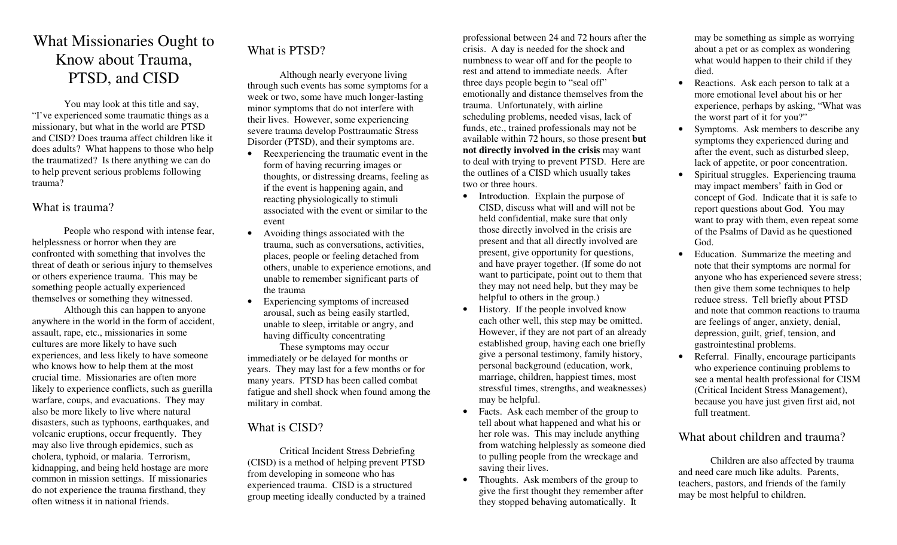# W h at Mission a ries Ought to Know about Trauma, PTSD, and CISD

You may look at t his title and say, "I've experienced so me trau matic thin gs as a missionary, but w hat in the world are PTSD and CISD? Does trauma affect children like it does adults? What happens to those who help the trau matized? Is there a n ything we can do to help prevent serious problems following trauma?

### What is trauma?

People who respond with intense fear, helpless ness or horr or when they are confronted with something that involves the threat of death or serious injury to themselves or others experience trau ma. T his may be so mething people actually experienced themselves or something they wit nessed.

Althou gh this can happen to an yone an y where in the world in the form of accident, assault, rape, etc., missionaries in so me cult ures are m ore li kely to have such experiences, and less li kely to have so meone who knows how to help them at t he most crucial time. Missionaries are often more li kely to experience conflicts, such as g uerilla warfare, coups, and evac uations. They may also be more li kely to li ve where natural disasters, such as typhoons, earthquakes, and v olca nic eruptions, occ ur frequentl y. T hey may also li ve throu gh epidemics, such as cholera, typhoid, or malaria. Terr orism, kidnappin g, and being held hostage are more common in mission setti n gs. If missionaries do not experience the trau ma firsthand, they often witness it in national friends.

## What is PTSD?

Althou gh nearly everyone li ving through such events has s ome sy mpto ms for a week or two, so me have much longer-lasti ng minor symptoms that do not interfere with their li ves. Ho wever, so me experiencing severe trau ma develop P osttrau matic Stress Disorder (PTSD), and their symptoms are.

- •• Reexperiencing the traumatic event in the form of having rec urring images or thoug hts, or distressing dreams, feeli ng as if the event is happening again, and reacti ng ph ysiolo gically to sti muli associated with the event or similar to the event
- •• Avoiding things associated with the trauma, such as con versations, acti vities, places, people or feeli ng detac hed fr om others, unable to experience e motions, and unable to remember sig nifica nt parts of the trauma
- Experiencing symptoms of increased arousal, such as being easily startled, unable to sleep, irritable or an gry, and having difficulty conce ntrati n g

These sy mpto ms may occur immediately or be delayed for months or years. They may last for a few months or for many years. P TSD has been called co mbat fati g ue and shell shock when found among the military in co mbat.

## What is CISD?

Critical Incident Stress Debriefing (CIS D) is a method of helping prevent P T SD fr om developing in so meone who has experienced trau ma. CISD is a structured group meeti ng ideally conducted by a trained professional between 24 and 72 hours after the crisis. A day is nee ded for the shock and nu mbness to wear off and for the people to rest and attend to immediate needs. After three days people begin to "seal off" em otionally and distance themselves fr om the trauma. Unfortunately, with airli ne scheduli ng problems, nee ded visas, lack of funds, etc., trained professionals may not be available wit hin 72 hours, so those present **but n ot directly involved in the crisis** may want to deal with trying to prevent P T S D. Here are the outli nes of a CISD w hich usually takes two or three hours.

- Introduction. Explain the purpose of CISD, discuss what will and will not be held confidential, make sure that only those directly in v olved in the crisis are present and that all directly in v olved are present, give opportunity for questions, and have prayer to gether. (If so me do not want to participate, point out to them that they may not need help, but t hey may be helpful to others in the group.)
- $\bullet$ • History. If the people involved know each other well, this step may be o mitted. Ho wever, if they are not part of an alrea dy established group, having each one briefly give a personal testi mon y, family history, personal background (education, w ork, marriage, chil dren, happiest ti mes, m ost stressful ti mes, stren gths, and weaknesses) may be helpful.
- Facts. Ask each member of the group to tell about what happened and what his or her role was. This may include anything fr om watching helplessly as s o meone died to pulli ng people fr om the wrec kage and saving their li ves.
- •• Thoughts. Ask members of the group to give the first thou g ht t hey remember after they stopped behaving auto maticall y. It

may be something as simple as w orr ying about a pet or as co mplex as wondering what would happen to their child if they died.

- $\bullet$ • Reactions. Ask each person to talk at a more emotional level about his or her experience, perhaps by askin g, "W hat was the w orst part of it for you?"
- $\bullet$ • Symptoms. Ask members to describe any sy mpto ms they experienced during and after the e vent, such as disturbed sleep, lack of appetite, or poor conce ntration.
- •• Spiritual struggles. Experiencing trauma may impact members' faith in God or conce pt of God. Indicate that it is safe to report questions about God. You may want to pray with them, even repeat so me of the Psalms of David as he questioned God.
- •• Education. Summarize the meeting and note that t heir sy mpto ms are normal for an yone who has experienced severe stress; then give them so me techniques to help reduce stress. Tell briefly about P TSD and note that common reactions to trauma are feeli ngs of an ger, anxiety, denial, depression, g uilt, grief, tension, and gastrointesti nal problems.
- •• Referral. Finally, encourage participants who experience continuing problems to see a mental health professional for CISM (Critical Incident Stress Management), because you have just given first aid, not full treatment.

### What about children and trauma?

Chil dren are also affected by trau ma and need care much li ke adults. Parents, teac hers, pastors, and friends of the family may be most helpful to chil dren.